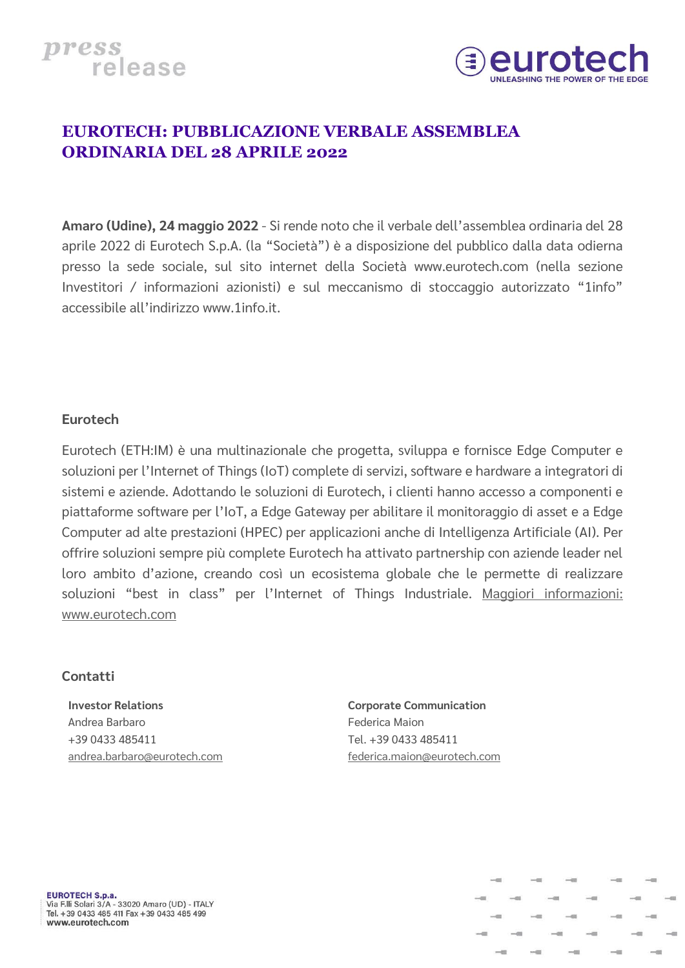



## **EUROTECH: PUBBLICAZIONE VERBALE ASSEMBLEA ORDINARIA DEL 28 APRILE 2022**

**Amaro (Udine), 24 maggio 2022** - Si rende noto che il verbale dell'assemblea ordinaria del 28 aprile 2022 di Eurotech S.p.A. (la "Società") è a disposizione del pubblico dalla data odierna presso la sede sociale, sul sito internet della Società www.eurotech.com (nella sezione Investitori / informazioni azionisti) e sul meccanismo di stoccaggio autorizzato "1info" accessibile all'indirizzo [www.1info.it.](http://www.1info.it/)

## **Eurotech**

Eurotech (ETH:IM) è una multinazionale che progetta, sviluppa e fornisce Edge Computer e soluzioni per l'Internet of Things (IoT) complete di servizi, software e hardware a integratori di sistemi e aziende. Adottando le soluzioni di Eurotech, i clienti hanno accesso a componenti e piattaforme software per l'IoT, a Edge Gateway per abilitare il monitoraggio di asset e a Edge Computer ad alte prestazioni (HPEC) per applicazioni anche di Intelligenza Artificiale (AI). Per offrire soluzioni sempre più complete Eurotech ha attivato partnership con aziende leader nel loro ambito d'azione, creando così un ecosistema globale che le permette di realizzare soluzioni "best in class" per l'Internet of Things Industriale. [Maggiori informazioni:](https://www.eurotech.com/en) www.eurotech.com

### **Contatti**

**Investor Relations**  Andrea Barbaro +39 0433 485411 [andrea.barbaro@eurotech.com](mailto:andrea.barbaro@eurotech.com) **Corporate Communication**  Federica Maion Tel. +39 0433 485411 [federica.maion@eurotech.com](mailto:federica.maion@eurotech.com)